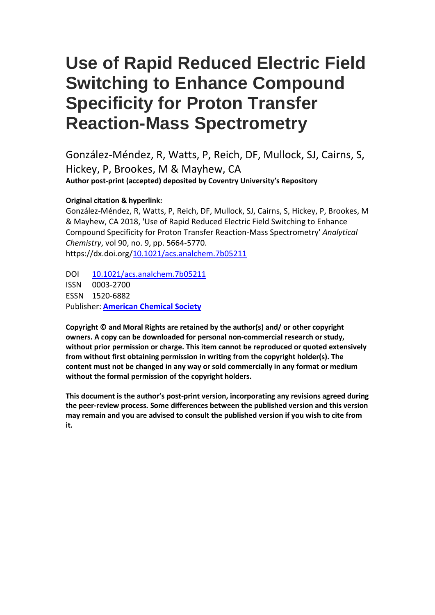# **Use of Rapid Reduced Electric Field Switching to Enhance Compound Specificity for Proton Transfer Reaction-Mass Spectrometry**

González-Méndez, R, Watts, P, Reich, DF, Mullock, SJ, Cairns, S, Hickey, P, Brookes, M & Mayhew, CA **Author post-print (accepted) deposited by Coventry University's Repository**

#### **Original citation & hyperlink:**

González-Méndez, R, Watts, P, Reich, DF, Mullock, SJ, Cairns, S, Hickey, P, Brookes, M & Mayhew, CA 2018, 'Use of Rapid Reduced Electric Field Switching to Enhance Compound Specificity for Proton Transfer Reaction-Mass Spectrometry' *Analytical Chemistry*, vol 90, no. 9, pp. 5664-5770. https://dx.doi.org[/10.1021/acs.analchem.7b05211](http://dx.doi.org/10.1021/acs.analchem.7b05211)

DOI [10.1021/acs.analchem.7b05211](http://dx.doi.org/10.1021/acs.analchem.7b05211) ISSN 0003-2700 ESSN 1520-6882 Publisher: **[American Chemical Society](http://pubs.acs.org/)**

**Copyright © and Moral Rights are retained by the author(s) and/ or other copyright owners. A copy can be downloaded for personal non-commercial research or study, without prior permission or charge. This item cannot be reproduced or quoted extensively from without first obtaining permission in writing from the copyright holder(s). The content must not be changed in any way or sold commercially in any format or medium without the formal permission of the copyright holders.** 

**This document is the author's post-print version, incorporating any revisions agreed during the peer-review process. Some differences between the published version and this version may remain and you are advised to consult the published version if you wish to cite from it.**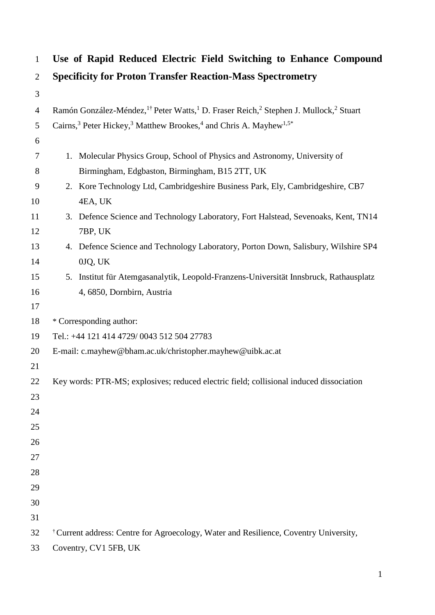| $\mathbf{1}$   | Use of Rapid Reduced Electric Field Switching to Enhance Compound                                                                    |
|----------------|--------------------------------------------------------------------------------------------------------------------------------------|
| $\overline{2}$ | <b>Specificity for Proton Transfer Reaction-Mass Spectrometry</b>                                                                    |
| 3              |                                                                                                                                      |
| $\overline{4}$ | Ramón González-Méndez, <sup>1†</sup> Peter Watts, <sup>1</sup> D. Fraser Reich, <sup>2</sup> Stephen J. Mullock, <sup>2</sup> Stuart |
| 5              | Cairns, <sup>3</sup> Peter Hickey, <sup>3</sup> Matthew Brookes, <sup>4</sup> and Chris A. Mayhew <sup>1,5*</sup>                    |
| 6              |                                                                                                                                      |
| 7              | 1. Molecular Physics Group, School of Physics and Astronomy, University of                                                           |
| 8              | Birmingham, Edgbaston, Birmingham, B15 2TT, UK                                                                                       |
| 9              | 2. Kore Technology Ltd, Cambridgeshire Business Park, Ely, Cambridgeshire, CB7                                                       |
| 10             | 4EA, UK                                                                                                                              |
| 11             | 3. Defence Science and Technology Laboratory, Fort Halstead, Sevenoaks, Kent, TN14                                                   |
| 12             | 7BP, UK                                                                                                                              |
| 13             | 4. Defence Science and Technology Laboratory, Porton Down, Salisbury, Wilshire SP4                                                   |
| 14             | 0JQ, UK                                                                                                                              |
| 15             | 5. Institut für Atemgasanalytik, Leopold-Franzens-Universität Innsbruck, Rathausplatz                                                |
| 16             | 4, 6850, Dornbirn, Austria                                                                                                           |
| 17             |                                                                                                                                      |
| 18             | * Corresponding author:                                                                                                              |
| 19             | Tel.: +44 121 414 4729/0043 512 504 27783                                                                                            |
| 20             | E-mail: c.mayhew@bham.ac.uk/christopher.mayhew@uibk.ac.at                                                                            |
| 21             |                                                                                                                                      |
| 22             | Key words: PTR-MS; explosives; reduced electric field; collisional induced dissociation                                              |
| 23<br>24       |                                                                                                                                      |
| 25             |                                                                                                                                      |
| 26             |                                                                                                                                      |
| 27             |                                                                                                                                      |
| 28             |                                                                                                                                      |
| 29             |                                                                                                                                      |
| 30             |                                                                                                                                      |
| 31             |                                                                                                                                      |
| 32             | <sup>†</sup> Current address: Centre for Agroecology, Water and Resilience, Coventry University,                                     |
| 33             | Coventry, CV1 5FB, UK                                                                                                                |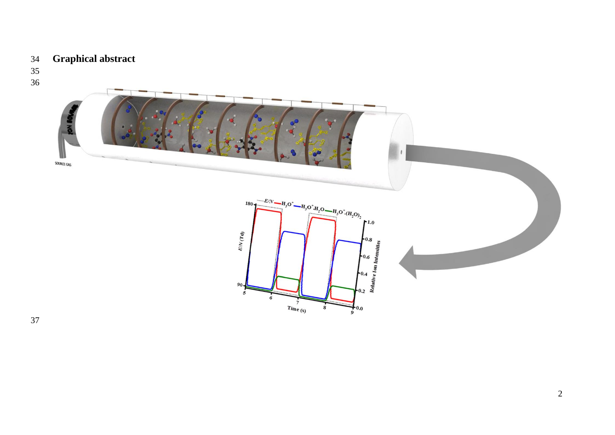# **Graphical abstract**

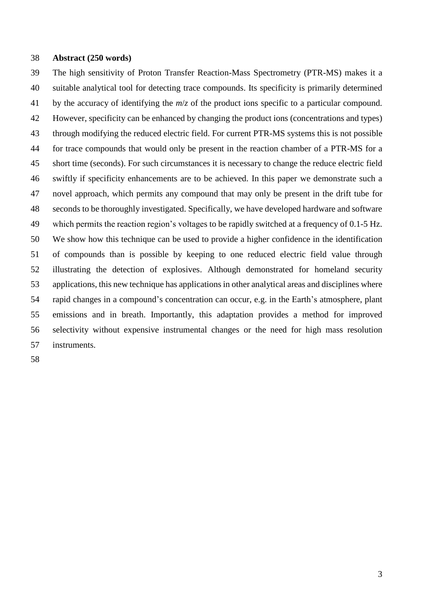#### **Abstract (250 words)**

 The high sensitivity of Proton Transfer Reaction-Mass Spectrometry (PTR-MS) makes it a suitable analytical tool for detecting trace compounds. Its specificity is primarily determined by the accuracy of identifying the *m*/*z* of the product ions specific to a particular compound. However, specificity can be enhanced by changing the product ions (concentrations and types) through modifying the reduced electric field. For current PTR-MS systems this is not possible for trace compounds that would only be present in the reaction chamber of a PTR-MS for a short time (seconds). For such circumstances it is necessary to change the reduce electric field swiftly if specificity enhancements are to be achieved. In this paper we demonstrate such a novel approach, which permits any compound that may only be present in the drift tube for seconds to be thoroughly investigated. Specifically, we have developed hardware and software which permits the reaction region's voltages to be rapidly switched at a frequency of 0.1-5 Hz. We show how this technique can be used to provide a higher confidence in the identification of compounds than is possible by keeping to one reduced electric field value through illustrating the detection of explosives. Although demonstrated for homeland security applications, this new technique has applications in other analytical areas and disciplines where rapid changes in a compound's concentration can occur, e.g. in the Earth's atmosphere, plant emissions and in breath. Importantly, this adaptation provides a method for improved selectivity without expensive instrumental changes or the need for high mass resolution instruments.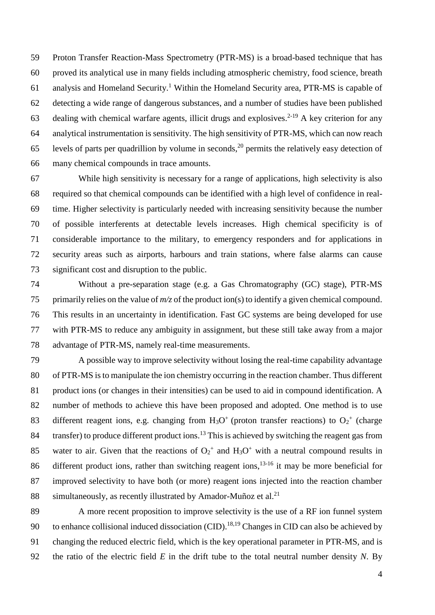Proton Transfer Reaction-Mass Spectrometry (PTR-MS) is a broad-based technique that has proved its analytical use in many fields including atmospheric chemistry, food science, breath 61 analysis and Homeland Security.<sup>1</sup> Within the Homeland Security area, PTR-MS is capable of detecting a wide range of dangerous substances, and a number of studies have been published 63 dealing with chemical warfare agents, illicit drugs and explosives.<sup>2-19</sup> A key criterion for any analytical instrumentation is sensitivity. The high sensitivity of PTR-MS, which can now reach 65 levels of parts per quadrillion by volume in seconds,<sup>20</sup> permits the relatively easy detection of many chemical compounds in trace amounts.

 While high sensitivity is necessary for a range of applications, high selectivity is also required so that chemical compounds can be identified with a high level of confidence in real- time. Higher selectivity is particularly needed with increasing sensitivity because the number of possible interferents at detectable levels increases. High chemical specificity is of considerable importance to the military, to emergency responders and for applications in security areas such as airports, harbours and train stations, where false alarms can cause significant cost and disruption to the public.

 Without a pre-separation stage (e.g. a Gas Chromatography (GC) stage), PTR-MS primarily relies on the value of *m/z* of the product ion(s) to identify a given chemical compound. This results in an uncertainty in identification. Fast GC systems are being developed for use with PTR-MS to reduce any ambiguity in assignment, but these still take away from a major advantage of PTR-MS, namely real-time measurements.

 A possible way to improve selectivity without losing the real-time capability advantage of PTR-MS is to manipulate the ion chemistry occurring in the reaction chamber. Thus different product ions (or changes in their intensities) can be used to aid in compound identification. A number of methods to achieve this have been proposed and adopted. One method is to use 83 different reagent ions, e.g. changing from  $H_3O^+$  (proton transfer reactions) to  $O_2^+$  (charge 84 transfer) to produce different product ions.<sup>13</sup> This is achieved by switching the reagent gas from 85 water to air. Given that the reactions of  $O_2$ <sup>+</sup> and  $H_3O$ <sup>+</sup> with a neutral compound results in 86 different product ions, rather than switching reagent ions,  $13-16$  it may be more beneficial for improved selectivity to have both (or more) reagent ions injected into the reaction chamber simultaneously, as recently illustrated by Amador-Muñoz et al.<sup>21</sup> 

 A more recent proposition to improve selectivity is the use of a RF ion funnel system 90 to enhance collisional induced dissociation (CID).<sup>18,19</sup> Changes in CID can also be achieved by changing the reduced electric field, which is the key operational parameter in PTR-MS, and is the ratio of the electric field *E* in the drift tube to the total neutral number density *N*. By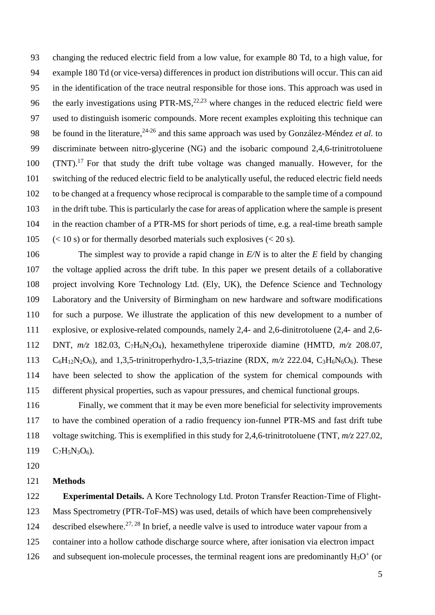changing the reduced electric field from a low value, for example 80 Td, to a high value, for example 180 Td (or vice-versa) differences in product ion distributions will occur. This can aid in the identification of the trace neutral responsible for those ions. This approach was used in 96 the early investigations using  $PTR-MS$ ,  $22,23$  where changes in the reduced electric field were used to distinguish isomeric compounds. More recent examples exploiting this technique can 98 be found in the literature,<sup>24-26</sup> and this same approach was used by González-Méndez *et al.* to discriminate between nitro-glycerine (NG) and the isobaric compound 2,4,6-trinitrotoluene (TNT).<sup>17</sup> For that study the drift tube voltage was changed manually. However, for the switching of the reduced electric field to be analytically useful, the reduced electric field needs to be changed at a frequency whose reciprocal is comparable to the sample time of a compound in the drift tube. This is particularly the case for areas of application where the sample is present in the reaction chamber of a PTR-MS for short periods of time, e.g. a real-time breath sample 105 (< 10 s) or for thermally desorbed materials such explosives ( $\lt$  20 s).

 The simplest way to provide a rapid change in *E/N* is to alter the *E* field by changing the voltage applied across the drift tube. In this paper we present details of a collaborative project involving Kore Technology Ltd. (Ely, UK), the Defence Science and Technology Laboratory and the University of Birmingham on new hardware and software modifications for such a purpose. We illustrate the application of this new development to a number of explosive, or explosive-related compounds, namely 2,4- and 2,6-dinitrotoluene (2,4- and 2,6- DNT, *m/z* 182.03, C7H6N2O4), hexamethylene triperoxide diamine (HMTD, *m/z* 208.07, C6H12N2O6), and 1,3,5-trinitroperhydro-1,3,5-triazine (RDX, *m/z* 222.04, C3H6N6O6). These have been selected to show the application of the system for chemical compounds with different physical properties, such as vapour pressures, and chemical functional groups.

 Finally, we comment that it may be even more beneficial for selectivity improvements to have the combined operation of a radio frequency ion-funnel PTR-MS and fast drift tube voltage switching. This is exemplified in this study for 2,4,6-trinitrotoluene (TNT, *m/z* 227.02,  $C_7H_5N_3O_6$ .

#### **Methods**

 **Experimental Details.** A Kore Technology Ltd. Proton Transfer Reaction-Time of Flight- Mass Spectrometry (PTR-ToF-MS) was used, details of which have been comprehensively 124 described elsewhere.<sup>27, 28</sup> In brief, a needle valve is used to introduce water vapour from a container into a hollow cathode discharge source where, after ionisation via electron impact 126 and subsequent ion-molecule processes, the terminal reagent ions are predominantly  $H_3O^+$  (or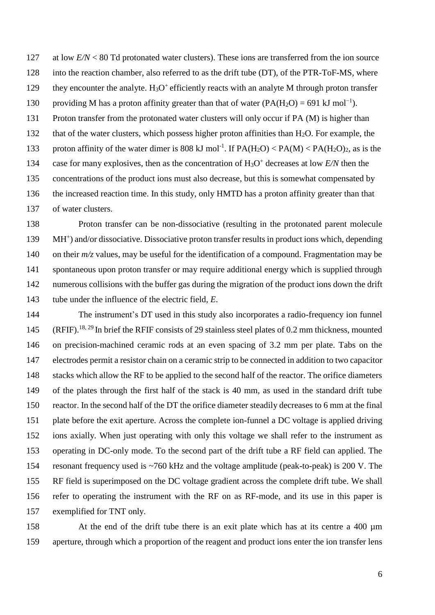127 at low *E/N* < 80 Td protonated water clusters). These ions are transferred from the ion source into the reaction chamber, also referred to as the drift tube (DT), of the PTR-ToF-MS, where 129 they encounter the analyte.  $H_3O^+$  efficiently reacts with an analyte M through proton transfer providing M has a proton affinity greater than that of water  $(PA(H_2O) = 691 \text{ kJ mol}^{-1})$ . Proton transfer from the protonated water clusters will only occur if PA (M) is higher than 132 that of the water clusters, which possess higher proton affinities than  $H_2O$ . For example, the 133 proton affinity of the water dimer is 808 kJ mol<sup>-1</sup>. If  $PA(H_2O) < PA(M) < PA(H_2O)_2$ , as is the 134 case for many explosives, then as the concentration of  $H_3O^+$  decreases at low  $E/N$  then the concentrations of the product ions must also decrease, but this is somewhat compensated by the increased reaction time. In this study, only HMTD has a proton affinity greater than that of water clusters.

 Proton transfer can be non-dissociative (resulting in the protonated parent molecule 139 MH<sup>+</sup>) and/or dissociative. Dissociative proton transfer results in product ions which, depending 140 on their  $m/z$  values, may be useful for the identification of a compound. Fragmentation may be spontaneous upon proton transfer or may require additional energy which is supplied through numerous collisions with the buffer gas during the migration of the product ions down the drift tube under the influence of the electric field, *E*.

 The instrument's DT used in this study also incorporates a radio-frequency ion funnel 145 (RFIF).<sup>18, 29</sup> In brief the RFIF consists of 29 stainless steel plates of 0.2 mm thickness, mounted on precision-machined ceramic rods at an even spacing of 3.2 mm per plate. Tabs on the electrodes permit a resistor chain on a ceramic strip to be connected in addition to two capacitor stacks which allow the RF to be applied to the second half of the reactor. The orifice diameters of the plates through the first half of the stack is 40 mm, as used in the standard drift tube reactor. In the second half of the DT the orifice diameter steadily decreases to 6 mm at the final plate before the exit aperture. Across the complete ion-funnel a DC voltage is applied driving ions axially. When just operating with only this voltage we shall refer to the instrument as operating in DC-only mode. To the second part of the drift tube a RF field can applied. The resonant frequency used is ~760 kHz and the voltage amplitude (peak-to-peak) is 200 V. The RF field is superimposed on the DC voltage gradient across the complete drift tube. We shall refer to operating the instrument with the RF on as RF-mode, and its use in this paper is exemplified for TNT only.

158 At the end of the drift tube there is an exit plate which has at its centre a 400  $\mu$ m aperture, through which a proportion of the reagent and product ions enter the ion transfer lens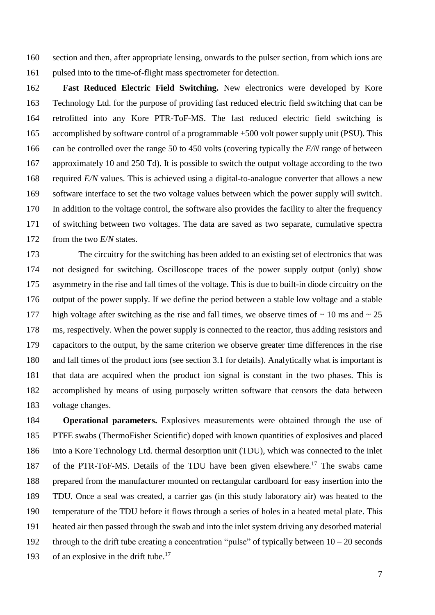section and then, after appropriate lensing, onwards to the pulser section, from which ions are pulsed into to the time-of-flight mass spectrometer for detection.

 **Fast Reduced Electric Field Switching.** New electronics were developed by Kore Technology Ltd. for the purpose of providing fast reduced electric field switching that can be retrofitted into any Kore PTR-ToF-MS. The fast reduced electric field switching is accomplished by software control of a programmable +500 volt power supply unit (PSU). This can be controlled over the range 50 to 450 volts (covering typically the *E/N* range of between approximately 10 and 250 Td). It is possible to switch the output voltage according to the two required *E/N* values. This is achieved using a digital-to-analogue converter that allows a new software interface to set the two voltage values between which the power supply will switch. In addition to the voltage control, the software also provides the facility to alter the frequency of switching between two voltages. The data are saved as two separate, cumulative spectra from the two *E*/*N* states.

 The circuitry for the switching has been added to an existing set of electronics that was not designed for switching. Oscilloscope traces of the power supply output (only) show asymmetry in the rise and fall times of the voltage. This is due to built-in diode circuitry on the output of the power supply. If we define the period between a stable low voltage and a stable 177 high voltage after switching as the rise and fall times, we observe times of  $\sim 10$  ms and  $\sim 25$  ms, respectively. When the power supply is connected to the reactor, thus adding resistors and capacitors to the output, by the same criterion we observe greater time differences in the rise and fall times of the product ions (see section 3.1 for details). Analytically what is important is that data are acquired when the product ion signal is constant in the two phases. This is accomplished by means of using purposely written software that censors the data between voltage changes.

 **Operational parameters.** Explosives measurements were obtained through the use of PTFE swabs (ThermoFisher Scientific) doped with known quantities of explosives and placed into a Kore Technology Ltd. thermal desorption unit (TDU), which was connected to the inlet 187 of the PTR-ToF-MS. Details of the TDU have been given elsewhere.<sup>17</sup> The swabs came prepared from the manufacturer mounted on rectangular cardboard for easy insertion into the TDU. Once a seal was created, a carrier gas (in this study laboratory air) was heated to the temperature of the TDU before it flows through a series of holes in a heated metal plate. This heated air then passed through the swab and into the inlet system driving any desorbed material 192 through to the drift tube creating a concentration "pulse" of typically between  $10 - 20$  seconds 193 of an explosive in the drift tube.<sup>17</sup>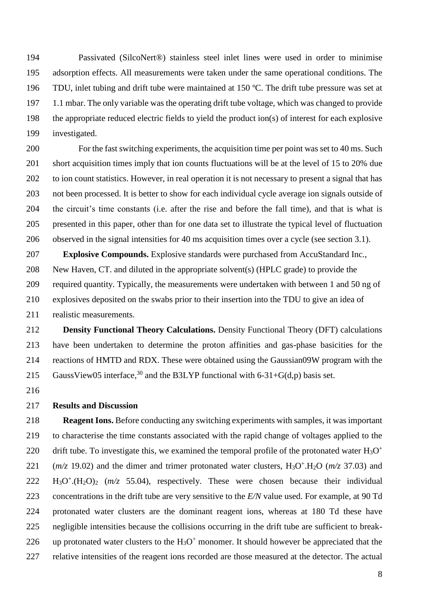Passivated (SilcoNert®) stainless steel inlet lines were used in order to minimise adsorption effects. All measurements were taken under the same operational conditions. The TDU, inlet tubing and drift tube were maintained at 150 ºC. The drift tube pressure was set at 1.1 mbar. The only variable was the operating drift tube voltage, which was changed to provide the appropriate reduced electric fields to yield the product ion(s) of interest for each explosive investigated.

 For the fast switching experiments, the acquisition time per point was set to 40 ms. Such short acquisition times imply that ion counts fluctuations will be at the level of 15 to 20% due to ion count statistics. However, in real operation it is not necessary to present a signal that has not been processed. It is better to show for each individual cycle average ion signals outside of the circuit's time constants (i.e. after the rise and before the fall time), and that is what is presented in this paper, other than for one data set to illustrate the typical level of fluctuation observed in the signal intensities for 40 ms acquisition times over a cycle (see section 3.1).

 **Explosive Compounds.** Explosive standards were purchased from AccuStandard Inc., New Haven, CT. and diluted in the appropriate solvent(s) (HPLC grade) to provide the required quantity. Typically, the measurements were undertaken with between 1 and 50 ng of explosives deposited on the swabs prior to their insertion into the TDU to give an idea of realistic measurements.

 **Density Functional Theory Calculations.** Density Functional Theory (DFT) calculations have been undertaken to determine the proton affinities and gas-phase basicities for the reactions of HMTD and RDX. These were obtained using the Gaussian09W program with the 215 GaussView05 interface,<sup>30</sup> and the B3LYP functional with 6-31+G(d,p) basis set.

#### **Results and Discussion**

 **Reagent Ions.** Before conducting any switching experiments with samples, it was important to characterise the time constants associated with the rapid change of voltages applied to the drift tube. To investigate this, we examined the temporal profile of the protonated water  $H_3O^+$   $(m/z)$  19.02) and the dimer and trimer protonated water clusters, H<sub>3</sub>O<sup>+</sup>.H<sub>2</sub>O ( $m/z$  37.03) and H<sub>3</sub>O<sup>+</sup>.(H<sub>2</sub>O)<sub>2</sub> ( $m/z$  55.04), respectively. These were chosen because their individual concentrations in the drift tube are very sensitive to the *E/N* value used. For example, at 90 Td protonated water clusters are the dominant reagent ions, whereas at 180 Td these have negligible intensities because the collisions occurring in the drift tube are sufficient to break-226 up protonated water clusters to the  $H_3O^+$  monomer. It should however be appreciated that the relative intensities of the reagent ions recorded are those measured at the detector. The actual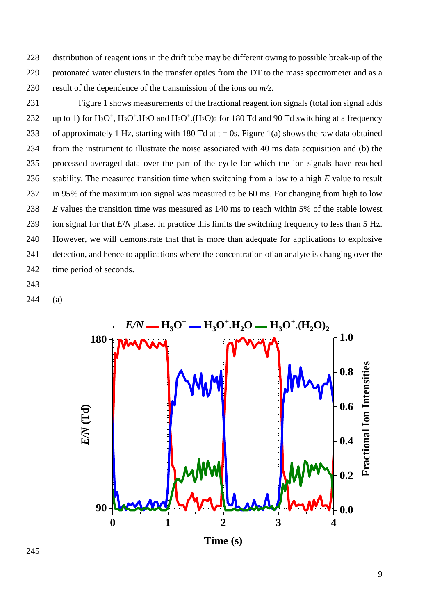distribution of reagent ions in the drift tube may be different owing to possible break-up of the protonated water clusters in the transfer optics from the DT to the mass spectrometer and as a result of the dependence of the transmission of the ions on *m/z*.

 Figure 1 shows measurements of the fractional reagent ion signals (total ion signal adds 232 up to 1) for  $H_3O^+$ ,  $H_3O^+$ .  $H_2O$  and  $H_3O^+$ .  $(H_2O)_2$  for 180 Td and 90 Td switching at a frequency 233 of approximately 1 Hz, starting with 180 Td at  $t = 0$ s. Figure 1(a) shows the raw data obtained from the instrument to illustrate the noise associated with 40 ms data acquisition and (b) the processed averaged data over the part of the cycle for which the ion signals have reached stability. The measured transition time when switching from a low to a high *E* value to result in 95% of the maximum ion signal was measured to be 60 ms. For changing from high to low *E* values the transition time was measured as 140 ms to reach within 5% of the stable lowest ion signal for that *E*/*N* phase. In practice this limits the switching frequency to less than 5 Hz. However, we will demonstrate that that is more than adequate for applications to explosive detection, and hence to applications where the concentration of an analyte is changing over the time period of seconds.

- 
- (a)

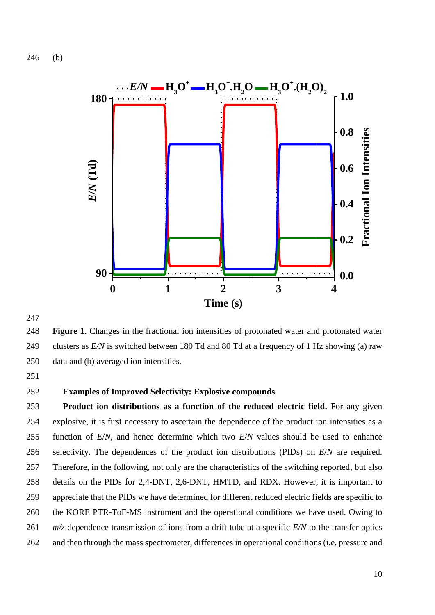(b)



 **Figure 1.** Changes in the fractional ion intensities of protonated water and protonated water clusters as *E/N* is switched between 180 Td and 80 Td at a frequency of 1 Hz showing (a) raw data and (b) averaged ion intensities.

## **Examples of Improved Selectivity: Explosive compounds**

 **Product ion distributions as a function of the reduced electric field.** For any given explosive, it is first necessary to ascertain the dependence of the product ion intensities as a function of *E*/*N*, and hence determine which two *E*/*N* values should be used to enhance selectivity. The dependences of the product ion distributions (PIDs) on *E*/*N* are required. Therefore, in the following, not only are the characteristics of the switching reported, but also details on the PIDs for 2,4-DNT, 2,6-DNT, HMTD, and RDX. However, it is important to appreciate that the PIDs we have determined for different reduced electric fields are specific to the KORE PTR-ToF-MS instrument and the operational conditions we have used. Owing to *m/z* dependence transmission of ions from a drift tube at a specific *E*/*N* to the transfer optics and then through the mass spectrometer, differences in operational conditions (i.e. pressure and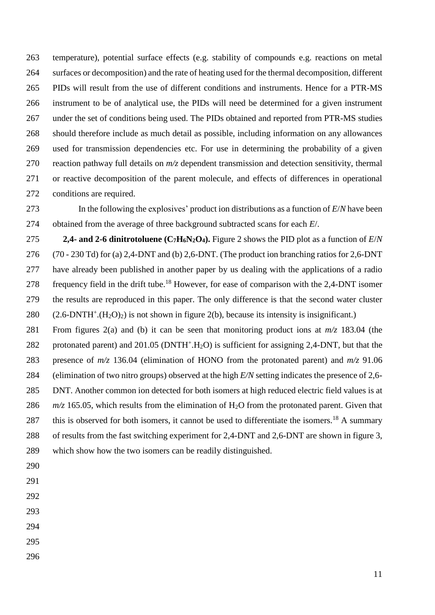temperature), potential surface effects (e.g. stability of compounds e.g. reactions on metal surfaces or decomposition) and the rate of heating used for the thermal decomposition, different PIDs will result from the use of different conditions and instruments. Hence for a PTR-MS instrument to be of analytical use, the PIDs will need be determined for a given instrument under the set of conditions being used. The PIDs obtained and reported from PTR-MS studies should therefore include as much detail as possible, including information on any allowances used for transmission dependencies etc. For use in determining the probability of a given reaction pathway full details on *m/z* dependent transmission and detection sensitivity, thermal or reactive decomposition of the parent molecule, and effects of differences in operational conditions are required.

 In the following the explosives' product ion distributions as a function of *E*/*N* have been obtained from the average of three background subtracted scans for each *E*/.

**2,4-** and 2-6 dinitrotoluene (C<sub>7</sub>**H**<sub>6</sub>**N**<sub>2</sub>**O**<sub>4</sub>). Figure 2 shows the PID plot as a function of  $E/N$  (70 - 230 Td) for (a) 2,4-DNT and (b) 2,6-DNT. (The product ion branching ratios for 2,6-DNT have already been published in another paper by us dealing with the applications of a radio 278 frequency field in the drift tube.<sup>18</sup> However, for ease of comparison with the 2,4-DNT isomer the results are reproduced in this paper. The only difference is that the second water cluster  $(2.6-DNTH^+(H_2O)_2)$  is not shown in figure 2(b), because its intensity is insignificant.)

 From figures 2(a) and (b) it can be seen that monitoring product ions at *m/z* 183.04 (the 282 protonated parent) and 201.05 ( $DNTH<sup>+</sup> H<sub>2</sub>O$ ) is sufficient for assigning 2,4-DNT, but that the presence of *m/z* 136.04 (elimination of HONO from the protonated parent) and *m/z* 91.06 (elimination of two nitro groups) observed at the high *E/N* setting indicates the presence of 2,6- DNT. Another common ion detected for both isomers at high reduced electric field values is at  $m/z$  165.05, which results from the elimination of H<sub>2</sub>O from the protonated parent. Given that 287 this is observed for both isomers, it cannot be used to differentiate the isomers.<sup>18</sup> A summary of results from the fast switching experiment for 2,4-DNT and 2,6-DNT are shown in figure 3, which show how the two isomers can be readily distinguished.

- 
- 
- 
- 
- 
- 
-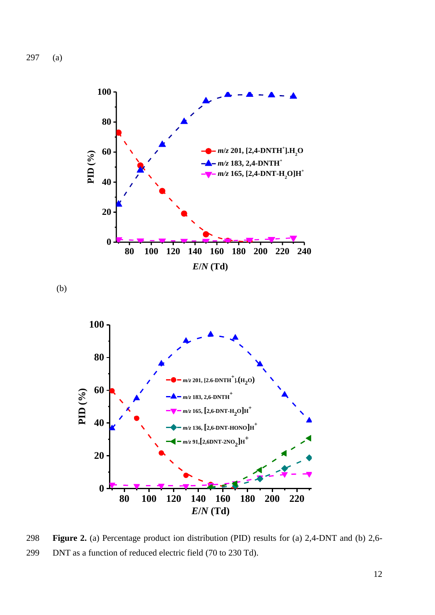297 (a)



(b)



298 **Figure 2.** (a) Percentage product ion distribution (PID) results for (a) 2,4-DNT and (b) 2,6- 299 DNT as a function of reduced electric field (70 to 230 Td).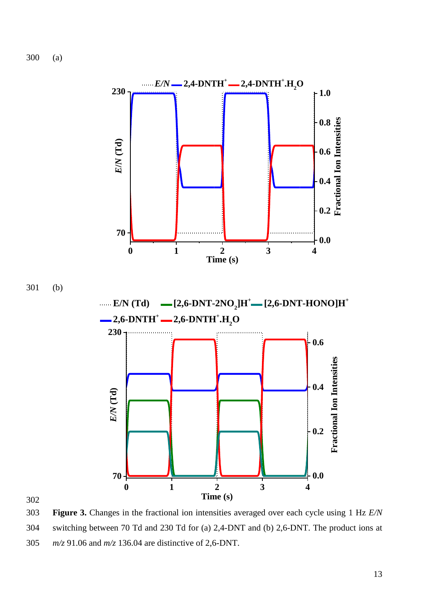300 (a)



302

303 **Figure 3.** Changes in the fractional ion intensities averaged over each cycle using 1 Hz *E/N* 304 switching between 70 Td and 230 Td for (a) 2,4-DNT and (b) 2,6-DNT. The product ions at 305 *m/z* 91.06 and *m/z* 136.04 are distinctive of 2,6-DNT.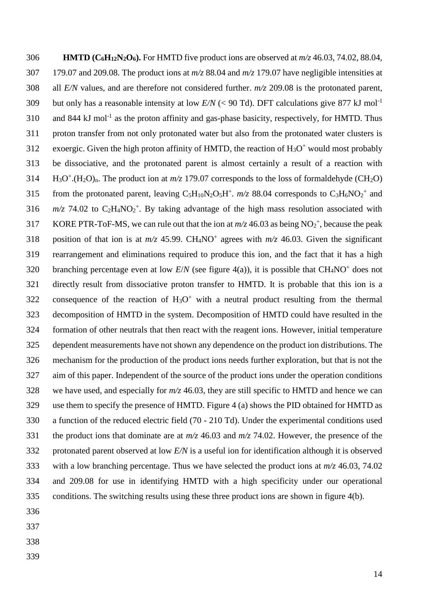**HMTD (C6H12N2O6).** For HMTD five product ions are observed at *m/z* 46.03, 74.02, 88.04, 179.07 and 209.08. The product ions at *m/z* 88.04 and *m/z* 179.07 have negligible intensities at all *E/N* values, and are therefore not considered further. *m/z* 209.08 is the protonated parent, but only has a reasonable intensity at low  $E/N$  (< 90 Td). DFT calculations give 877 kJ mol<sup>-1</sup> 310 and 844 kJ mol<sup>-1</sup> as the proton affinity and gas-phase basicity, respectively, for HMTD. Thus proton transfer from not only protonated water but also from the protonated water clusters is 312 exoergic. Given the high proton affinity of HMTD, the reaction of  $H_3O^+$  would most probably be dissociative, and the protonated parent is almost certainly a result of a reaction with 314 H<sub>3</sub>O<sup>+</sup>.(H<sub>2</sub>O)<sub>n</sub>. The product ion at  $m/z$  179.07 corresponds to the loss of formaldehyde (CH<sub>2</sub>O) 315 from the protonated parent, leaving  $C_5H_{10}N_2O_5H^+$ .  $m/z$  88.04 corresponds to  $C_3H_6NO_2^+$  and  $m/z$  74.02 to  $C_2H_4NO_2^+$ . By taking advantage of the high mass resolution associated with 317 KORE PTR-ToF-MS, we can rule out that the ion at  $m/z$  46.03 as being NO<sub>2</sub><sup>+</sup>, because the peak 318 position of that ion is at  $m/z$  45.99. CH<sub>4</sub>NO<sup>+</sup> agrees with  $m/z$  46.03. Given the significant rearrangement and eliminations required to produce this ion, and the fact that it has a high 320 branching percentage even at low  $E/N$  (see figure 4(a)), it is possible that  $CH_4NO^+$  does not directly result from dissociative proton transfer to HMTD. It is probable that this ion is a 322 consequence of the reaction of  $H_3O^+$  with a neutral product resulting from the thermal decomposition of HMTD in the system. Decomposition of HMTD could have resulted in the formation of other neutrals that then react with the reagent ions. However, initial temperature dependent measurements have not shown any dependence on the product ion distributions. The mechanism for the production of the product ions needs further exploration, but that is not the aim of this paper. Independent of the source of the product ions under the operation conditions 328 we have used, and especially for  $m/z$  46.03, they are still specific to HMTD and hence we can use them to specify the presence of HMTD. Figure 4 (a) shows the PID obtained for HMTD as a function of the reduced electric field (70 - 210 Td). Under the experimental conditions used the product ions that dominate are at *m/z* 46.03 and *m/z* 74.02. However, the presence of the protonated parent observed at low *E/N* is a useful ion for identification although it is observed with a low branching percentage. Thus we have selected the product ions at *m/z* 46.03, 74.02 and 209.08 for use in identifying HMTD with a high specificity under our operational conditions. The switching results using these three product ions are shown in figure 4(b). 

- 
-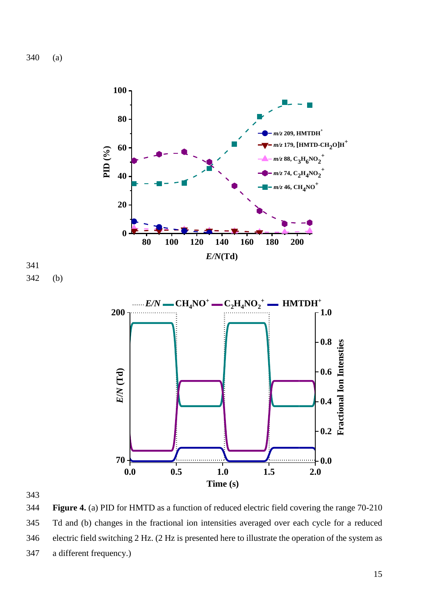340 (a)



344 **Figure 4.** (a) PID for HMTD as a function of reduced electric field covering the range 70-210 345 Td and (b) changes in the fractional ion intensities averaged over each cycle for a reduced 346 electric field switching 2 Hz. (2 Hz is presented here to illustrate the operation of the system as 347 a different frequency.)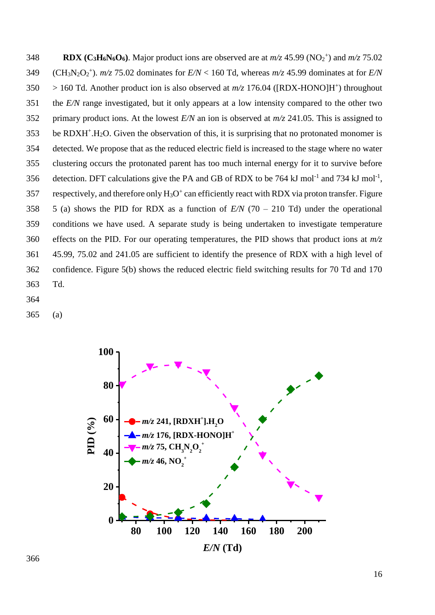**RDX (C<sub>3</sub>H<sub>6</sub>N<sub>6</sub>O<sub>6</sub>).** Major product ions are observed are at  $m/z$  45.99 (NO<sub>2</sub><sup>+</sup>) and  $m/z$  75.02 349 (CH<sub>3</sub>N<sub>2</sub>O<sub>2</sub><sup>+</sup>).  $m/z$  75.02 dominates for  $E/N < 160$  Td, whereas  $m/z$  45.99 dominates at for  $E/N$  $350 > 160$  Td. Another product ion is also observed at  $m/z$  176.04 ([RDX-HONO]H<sup>+</sup>) throughout the *E/N* range investigated, but it only appears at a low intensity compared to the other two primary product ions. At the lowest *E/N* an ion is observed at *m/z* 241.05. This is assigned to be RDXH<sup>+</sup>.H<sub>2</sub>O. Given the observation of this, it is surprising that no protonated monomer is detected. We propose that as the reduced electric field is increased to the stage where no water clustering occurs the protonated parent has too much internal energy for it to survive before 356 detection. DFT calculations give the PA and GB of RDX to be 764 kJ mol<sup>-1</sup> and 734 kJ mol<sup>-1</sup>, 357 respectively, and therefore only  $H_3O^+$  can efficiently react with RDX via proton transfer. Figure 5 (a) shows the PID for RDX as a function of *E/N* (70 – 210 Td) under the operational conditions we have used. A separate study is being undertaken to investigate temperature effects on the PID. For our operating temperatures, the PID shows that product ions at *m/z* 45.99, 75.02 and 241.05 are sufficient to identify the presence of RDX with a high level of confidence. Figure 5(b) shows the reduced electric field switching results for 70 Td and 170 Td.

(a)

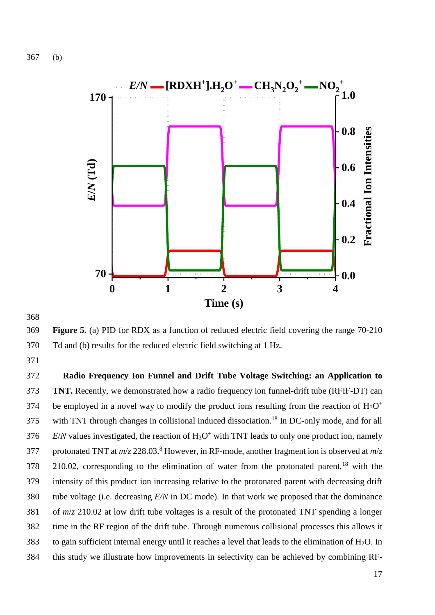367 (b)



368

369 **Figure 5.** (a) PID for RDX as a function of reduced electric field covering the range 70-210 370 Td and (b) results for the reduced electric field switching at 1 Hz.

371

 **Radio Frequency Ion Funnel and Drift Tube Voltage Switching: an Application to TNT.** Recently, we demonstrated how a radio frequency ion funnel-drift tube (RFIF-DT) can be employed in a novel way to modify the product ions resulting from the reaction of  $H_3O^+$ 374 with TNT through changes in collisional induced dissociation.<sup>18</sup> In DC-only mode, and for all *E/N* values investigated, the reaction of  $H_3O^+$  with TNT leads to only one product ion, namely 377 protonated TNT at  $m/z$  228.03.<sup>8</sup> However, in RF-mode, another fragment ion is observed at  $m/z$ 210.02, corresponding to the elimination of water from the protonated parent,<sup>18</sup> with the intensity of this product ion increasing relative to the protonated parent with decreasing drift tube voltage (i.e. decreasing *E/N* in DC mode). In that work we proposed that the dominance of *m*/*z* 210.02 at low drift tube voltages is a result of the protonated TNT spending a longer time in the RF region of the drift tube. Through numerous collisional processes this allows it 383 to gain sufficient internal energy until it reaches a level that leads to the elimination of  $H_2O$ . In this study we illustrate how improvements in selectivity can be achieved by combining RF-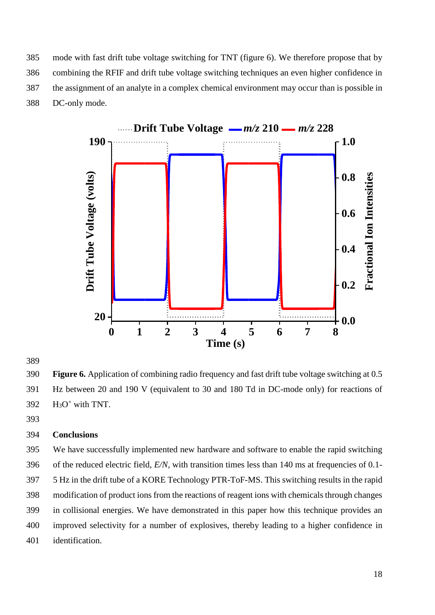mode with fast drift tube voltage switching for TNT (figure 6). We therefore propose that by combining the RFIF and drift tube voltage switching techniques an even higher confidence in the assignment of an analyte in a complex chemical environment may occur than is possible in DC-only mode.



 **Figure 6.** Application of combining radio frequency and fast drift tube voltage switching at 0.5 Hz between 20 and 190 V (equivalent to 30 and 180 Td in DC-mode only) for reactions of H<sub>3</sub>O<sup>+</sup> with TNT.

#### **Conclusions**

 We have successfully implemented new hardware and software to enable the rapid switching of the reduced electric field, *E/N,* with transition times less than 140 ms at frequencies of 0.1- 5 Hz in the drift tube of a KORE Technology PTR-ToF-MS. This switching results in the rapid modification of product ions from the reactions of reagent ions with chemicals through changes in collisional energies. We have demonstrated in this paper how this technique provides an improved selectivity for a number of explosives, thereby leading to a higher confidence in identification.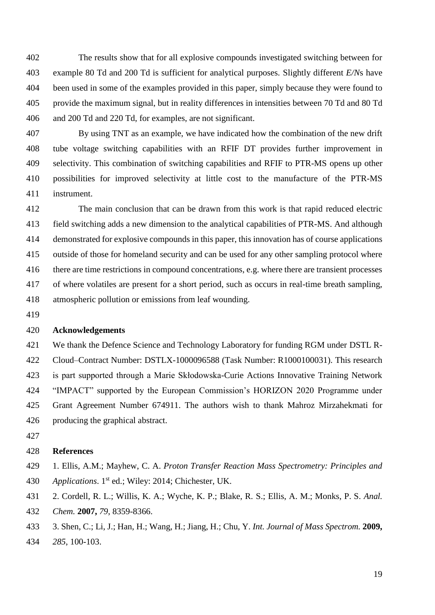The results show that for all explosive compounds investigated switching between for example 80 Td and 200 Td is sufficient for analytical purposes. Slightly different *E/N*s have 404 been used in some of the examples provided in this paper, simply because they were found to provide the maximum signal, but in reality differences in intensities between 70 Td and 80 Td and 200 Td and 220 Td, for examples, are not significant.

 By using TNT as an example, we have indicated how the combination of the new drift tube voltage switching capabilities with an RFIF DT provides further improvement in selectivity. This combination of switching capabilities and RFIF to PTR-MS opens up other possibilities for improved selectivity at little cost to the manufacture of the PTR-MS instrument.

 The main conclusion that can be drawn from this work is that rapid reduced electric field switching adds a new dimension to the analytical capabilities of PTR-MS. And although demonstrated for explosive compounds in this paper, this innovation has of course applications outside of those for homeland security and can be used for any other sampling protocol where there are time restrictions in compound concentrations, e.g. where there are transient processes of where volatiles are present for a short period, such as occurs in real-time breath sampling, atmospheric pollution or emissions from leaf wounding.

#### **Acknowledgements**

 We thank the Defence Science and Technology Laboratory for funding RGM under DSTL R- Cloud–Contract Number: DSTLX-1000096588 (Task Number: R1000100031). This research is part supported through a Marie Skłodowska-Curie Actions Innovative Training Network "IMPACT" supported by the European Commission's HORIZON 2020 Programme under Grant Agreement Number 674911. The authors wish to thank Mahroz Mirzahekmati for producing the graphical abstract.

## **References**

 1. Ellis, A.M.; Mayhew, C. A. *Proton Transfer Reaction Mass Spectrometry: Principles and*  430 Applications. 1<sup>st</sup> ed.; Wiley: 2014; Chichester, UK.

2. Cordell, R. L.; Willis, K. A.; Wyche, K. P.; Blake, R. S.; Ellis, A. M.; Monks, P. S. *Anal.* 

- *Chem.* **2007,** *79*, 8359-8366.
- 3. Shen, C.; Li, J.; Han, H.; Wang, H.; Jiang, H.; Chu, Y. *Int. Journal of Mass Spectrom.* **2009,** *285*, 100-103.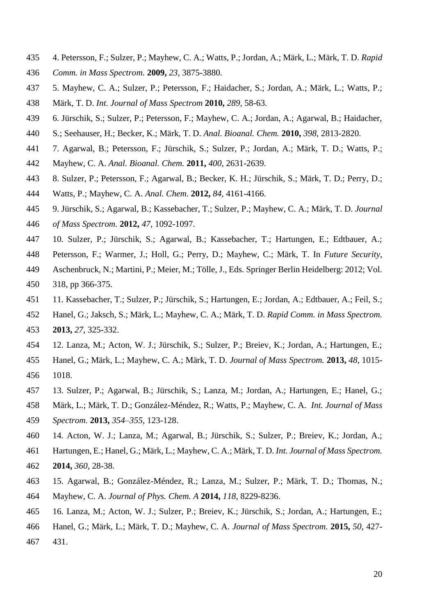- 4. Petersson, F.; Sulzer, P.; Mayhew, C. A.; Watts, P.; Jordan, A.; Märk, L.; Märk, T. D. *Rapid*
- *Comm. in Mass Spectrom.* **2009,** *23*, 3875-3880.
- 5. Mayhew, C. A.; Sulzer, P.; Petersson, F.; Haidacher, S.; Jordan, A.; Märk, L.; Watts, P.;
- Märk, T. D. *Int. Journal of Mass Spectrom* **2010,** *289*, 58-63.
- 6. Jürschik, S.; Sulzer, P.; Petersson, F.; Mayhew, C. A.; Jordan, A.; Agarwal, B.; Haidacher,
- S.; Seehauser, H.; Becker, K.; Märk, T. D. *Anal. Bioanal. Chem.* **2010,** *398*, 2813-2820.
- 7. Agarwal, B.; Petersson, F.; Jürschik, S.; Sulzer, P.; Jordan, A.; Märk, T. D.; Watts, P.;
- Mayhew, C. A. *Anal. Bioanal. Chem.* **2011,** *400*, 2631-2639.
- 8. Sulzer, P.; Petersson, F.; Agarwal, B.; Becker, K. H.; Jürschik, S.; Märk, T. D.; Perry, D.;
- Watts, P.; Mayhew, C. A. *Anal. Chem.* **2012,** *84*, 4161-4166.
- 9. Jürschik, S.; Agarwal, B.; Kassebacher, T.; Sulzer, P.; Mayhew, C. A.; Märk, T. D. *Journal*
- *of Mass Spectrom.* **2012,** *47*, 1092-1097.
- 10. Sulzer, P.; Jürschik, S.; Agarwal, B.; Kassebacher, T.; Hartungen, E.; Edtbauer, A.;
- Petersson, F.; Warmer, J.; Holl, G.; Perry, D.; Mayhew, C.; Märk, T. In *Future Security*,
- Aschenbruck, N.; Martini, P.; Meier, M.; Tölle, J., Eds. Springer Berlin Heidelberg: 2012; Vol. 318, pp 366-375.
- 11. Kassebacher, T.; Sulzer, P.; Jürschik, S.; Hartungen, E.; Jordan, A.; Edtbauer, A.; Feil, S.;
- Hanel, G.; Jaksch, S.; Märk, L.; Mayhew, C. A.; Märk, T. D. *Rapid Comm. in Mass Spectrom.* **2013,** *27*, 325-332.
- 12. Lanza, M.; Acton, W. J.; Jürschik, S.; Sulzer, P.; Breiev, K.; Jordan, A.; Hartungen, E.;
- Hanel, G.; Märk, L.; Mayhew, C. A.; Märk, T. D. *Journal of Mass Spectrom.* **2013,** *48*, 1015- 1018.
- 13. Sulzer, P.; Agarwal, B.; Jürschik, S.; Lanza, M.; Jordan, A.; Hartungen, E.; Hanel, G.;
- Märk, L.; Märk, T. D.; González-Méndez, R.; Watts, P.; Mayhew, C. A. *Int. Journal of Mass*
- *Spectrom.* **2013,** *354–355*, 123-128.
- 14. Acton, W. J.; Lanza, M.; Agarwal, B.; Jürschik, S.; Sulzer, P.; Breiev, K.; Jordan, A.;
- Hartungen, E.; Hanel, G.; Märk, L.; Mayhew, C. A.; Märk, T. D. *Int. Journal of Mass Spectrom.*
- **2014,** *360*, 28-38.
- 15. Agarwal, B.; González-Méndez, R.; Lanza, M.; Sulzer, P.; Märk, T. D.; Thomas, N.;
- Mayhew, C. A. *Journal of Phys. Chem. A* **2014,** *118*, 8229-8236.
- 16. Lanza, M.; Acton, W. J.; Sulzer, P.; Breiev, K.; Jürschik, S.; Jordan, A.; Hartungen, E.;
- Hanel, G.; Märk, L.; Märk, T. D.; Mayhew, C. A. *Journal of Mass Spectrom.* **2015,** *50*, 427-
- 431.